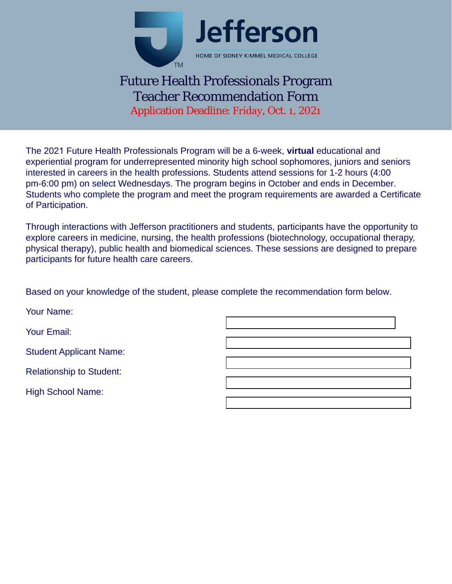

## Future Health Professionals Program Teacher Recommendation Form Application Deadline: Friday, Oct. 1, 2021

The 2021 Future Health Professionals Program will be a 6-week, **virtual** educational and experiential program for underrepresented minority high school sophomores, juniors and seniors interested in careers in the health professions. Students attend sessions for 1-2 hours (4:00 pm-6:00 pm) on select Wednesdays. The program begins in October and ends in December. Students who complete the program and meet the program requirements are awarded a Certificate of Participation.

Through interactions with Jefferson practitioners and students, participants have the opportunity to explore careers in medicine, nursing, the health professions (biotechnology, occupational therapy, physical therapy), public health and biomedical sciences. These sessions are designed to prepare participants for future health care careers.

Based on your knowledge of the student, please complete the recommendation form below.

Your Name: Your Email: Student Applicant Name: Relationship to Student: High School Name: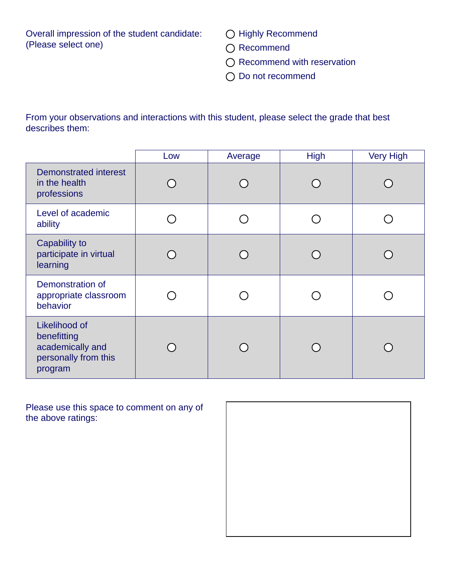Overall impression of the student candidate: (Please select one)

O Highly Recommend

- O Recommend
- O Recommend with reservation
- O Do not recommend

From your observations and interactions with this student, please select the grade that best describes them:

|                                                                                     | Low | Average | <b>High</b> | <b>Very High</b> |
|-------------------------------------------------------------------------------------|-----|---------|-------------|------------------|
| <b>Demonstrated interest</b><br>in the health<br>professions                        |     |         |             |                  |
| Level of academic<br>ability                                                        |     |         |             |                  |
| Capability to<br>participate in virtual<br>learning                                 |     |         |             |                  |
| Demonstration of<br>appropriate classroom<br>behavior                               |     |         |             |                  |
| Likelihood of<br>benefitting<br>academically and<br>personally from this<br>program |     |         |             |                  |

Please use this space to comment on any of the above ratings: